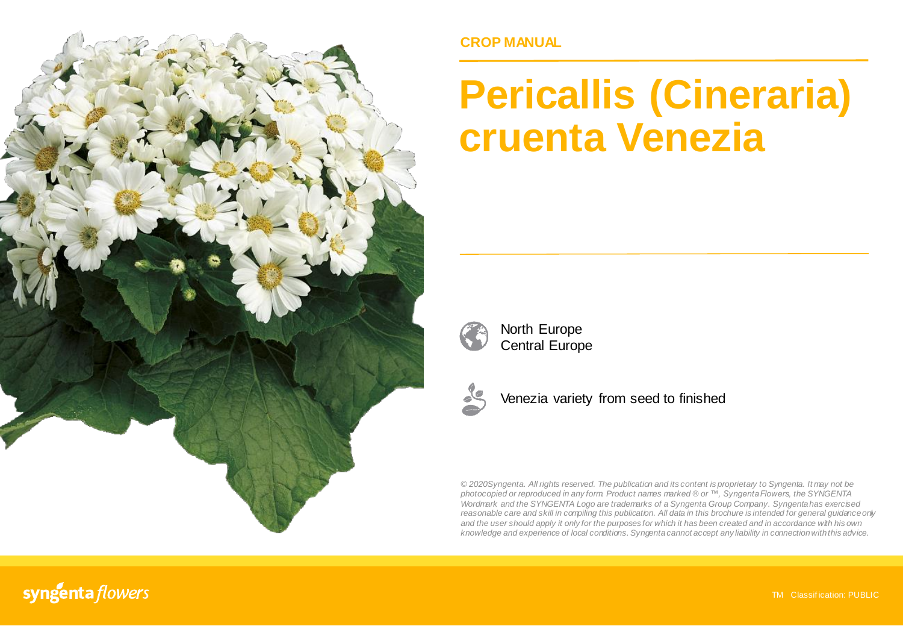

## **CROP MANUAL**

# **Pericallis (Cineraria) cruenta Venezia**



North Europe Central Europe



Venezia variety from seed to finished

*© 2020Syngenta. All rights reserved. The publication and its content is proprietary to Syngenta. It may not be photocopied or reproduced in any form. Product names marked ® or ™, Syngenta Flowers, the SYNGENTA Wordmark and the SYNGENTA Logo are trademarks of a Syngenta Group Company. Syngenta has exercised reasonable care and skill in compiling this publication. All data in this brochure is intended for general guidanceonly* and the user should apply it only for the purposes for which it has been created and in accordance with his own *knowledge and experience of local conditions. Syngenta cannot accept any liability in connectionwiththis advice.*

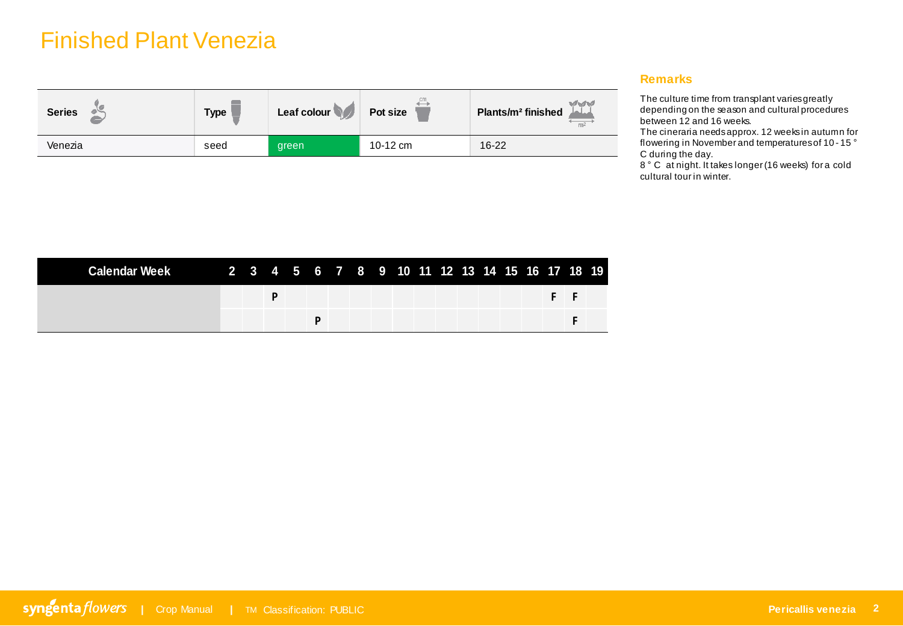# Finished Plant Venezia

| <b>Series</b> | <b>Type</b> | Leaf colour | Pot size | <b>VM</b><br>Plants/m <sup>2</sup> finished<br>m <sup>2</sup> |
|---------------|-------------|-------------|----------|---------------------------------------------------------------|
| Venezia       | seed        | green       | 10-12 cm | $16 - 22$                                                     |

#### **Remarks**

The culture time from transplant varies greatly depending on the season and cultural procedures between 12 and 16 weeks.

The cineraria needs approx. 12 weeks in autumn for flowering in November and temperatures of 10 - 15 ° C during the day.

8° C at night. It takes longer (16 weeks) for a cold cultural tour in winter.

| Calendar Week 2 3 4 5 6 7 8 9 10 11 12 13 14 15 16 17 18 19 |  |  |  |  |  |  |  |  |  |
|-------------------------------------------------------------|--|--|--|--|--|--|--|--|--|
|                                                             |  |  |  |  |  |  |  |  |  |
|                                                             |  |  |  |  |  |  |  |  |  |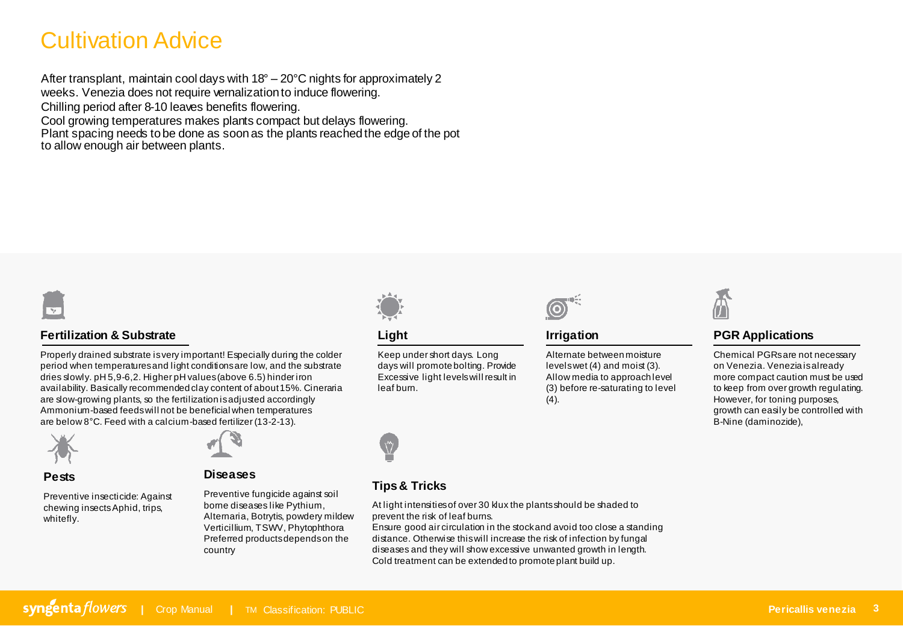# Cultivation Advice

After transplant, maintain cool days with 18° – 20°C nights for approximately 2 weeks. Venezia does not require vernalization to induce flowering. Chilling period after 8-10 leaves benefits flowering. Cool growing temperatures makes plants compact but delays flowering.

Plant spacing needs to be done as soon as the plants reached the edge of the pot to allow enough air between plants.



### **Fertilization & Substrate**

Properly drained substrate is very important! Especially during the colder period when temperatures and light conditions are low, and the substrate dries slowly. pH 5,9-6,2. Higher pH values (above 6.5) hinder iron availability. Basically recommended clay content of about 15%. Cineraria are slow-growing plants, so the fertilization is adjusted accordingly Ammonium-based feeds will not be beneficial when temperatures are below 8°C. Feed with a calcium-based fertilizer (13-2-13).



#### **Pests**

Preventive insecticide: Against chewing insectsAphid, trips, whitefly.



**Diseases**

Preventive fungicide against soil borne diseases like Pythium, Alternaria, Botrytis, powdery mildew Verticillium, TSWV, Phytophthora Preferred products depends on the country



**Light**

Ŵ,

Keep under short days. Long days will promote bolting. Provide Excessive light levels will result in leaf burn.



**Irrigation**

Alternate between moisture levels wet (4) and moist (3). Allow media to approach level (3) before re-saturating to level (4).



## **PGR Applications**

Chemical PGRs are not necessary on Venezia. Venezia is already more compact caution must be used to keep from over growth regulating. However, for toning purposes, growth can easily be controlled with B-Nine (daminozide),



### **Tips & Tricks**

At light intensities of over 30 klux the plants should be shaded to prevent the risk of leaf burns.

Ensure good air circulation in the stock and avoid too close a standing distance. Otherwise this will increase the risk of infection by fungal diseases and they will show excessive unwanted growth in length. Cold treatment can be extended to promote plant build up.